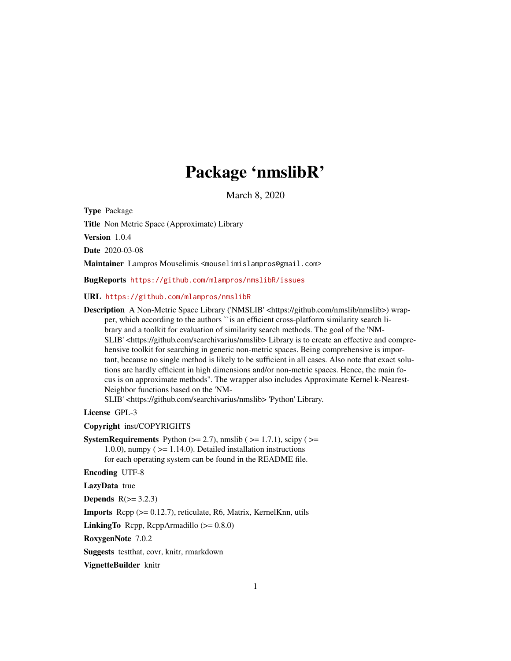## Package 'nmslibR'

March 8, 2020

<span id="page-0-0"></span>Type Package

Title Non Metric Space (Approximate) Library

Version 1.0.4

Date 2020-03-08

Maintainer Lampros Mouselimis <mouselimislampros@gmail.com>

BugReports <https://github.com/mlampros/nmslibR/issues>

#### URL <https://github.com/mlampros/nmslibR>

Description A Non-Metric Space Library ('NMSLIB' <https://github.com/nmslib/nmslib>) wrapper, which according to the authors ``is an efficient cross-platform similarity search library and a toolkit for evaluation of similarity search methods. The goal of the 'NM-SLIB' <https://github.com/searchivarius/nmslib> Library is to create an effective and comprehensive toolkit for searching in generic non-metric spaces. Being comprehensive is important, because no single method is likely to be sufficient in all cases. Also note that exact solutions are hardly efficient in high dimensions and/or non-metric spaces. Hence, the main focus is on approximate methods''. The wrapper also includes Approximate Kernel k-Nearest-Neighbor functions based on the 'NM-

SLIB' <https://github.com/searchivarius/nmslib> 'Python' Library.

License GPL-3

Copyright inst/COPYRIGHTS

**SystemRequirements** Python  $(>= 2.7)$ , nmslib  $(>= 1.7.1)$ , scipy  $(>= 1.7.1)$ 1.0.0), numpy ( $>= 1.14.0$ ). Detailed installation instructions for each operating system can be found in the README file.

Encoding UTF-8

LazyData true

Depends  $R(>= 3.2.3)$ 

Imports Rcpp (>= 0.12.7), reticulate, R6, Matrix, KernelKnn, utils

**LinkingTo** Rcpp, RcppArmadillo  $(>= 0.8.0)$ 

RoxygenNote 7.0.2

Suggests testthat, covr, knitr, rmarkdown

VignetteBuilder knitr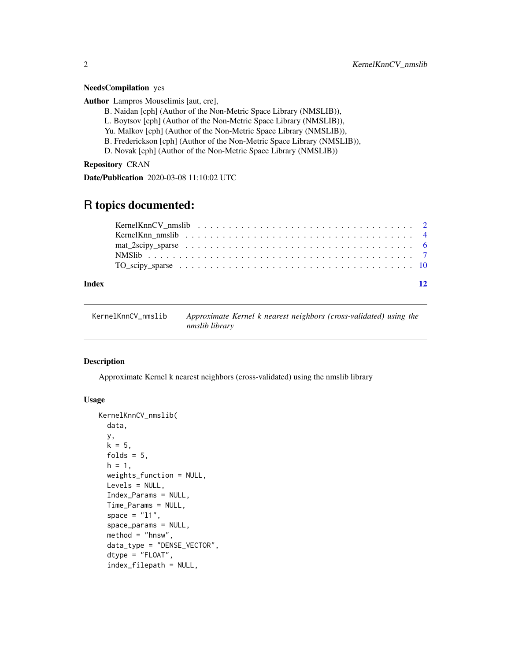#### <span id="page-1-0"></span>NeedsCompilation yes

Author Lampros Mouselimis [aut, cre],

- B. Naidan [cph] (Author of the Non-Metric Space Library (NMSLIB)),
- L. Boytsov [cph] (Author of the Non-Metric Space Library (NMSLIB)),
- Yu. Malkov [cph] (Author of the Non-Metric Space Library (NMSLIB)),
- B. Frederickson [cph] (Author of the Non-Metric Space Library (NMSLIB)),
- D. Novak [cph] (Author of the Non-Metric Space Library (NMSLIB))

Repository CRAN

Date/Publication 2020-03-08 11:10:02 UTC

### R topics documented:

| KernelKnn nmslib $\ldots \ldots \ldots \ldots \ldots \ldots \ldots \ldots \ldots \ldots \ldots \ldots \ldots$ |  |  |  |  |  |  |  |  |  |  |  |  |  |  |  |  |  |  |
|---------------------------------------------------------------------------------------------------------------|--|--|--|--|--|--|--|--|--|--|--|--|--|--|--|--|--|--|
|                                                                                                               |  |  |  |  |  |  |  |  |  |  |  |  |  |  |  |  |  |  |
|                                                                                                               |  |  |  |  |  |  |  |  |  |  |  |  |  |  |  |  |  |  |
|                                                                                                               |  |  |  |  |  |  |  |  |  |  |  |  |  |  |  |  |  |  |
|                                                                                                               |  |  |  |  |  |  |  |  |  |  |  |  |  |  |  |  |  |  |

#### **Index** [12](#page-11-0)

KernelKnnCV\_nmslib *Approximate Kernel k nearest neighbors (cross-validated) using the nmslib library*

#### Description

Approximate Kernel k nearest neighbors (cross-validated) using the nmslib library

#### Usage

```
KernelKnnCV_nmslib(
  data,
 y,
 k = 5,
  folds = 5,
 h = 1,weights_function = NULL,
 Levels = NULL,
  Index_Params = NULL,
  Time_Params = NULL,
  space = "11",
  space_params = NULL,
  method = "hnsw".data_type = "DENSE_VECTOR",
  dtype = "FLOAT",
  index_filepath = NULL,
```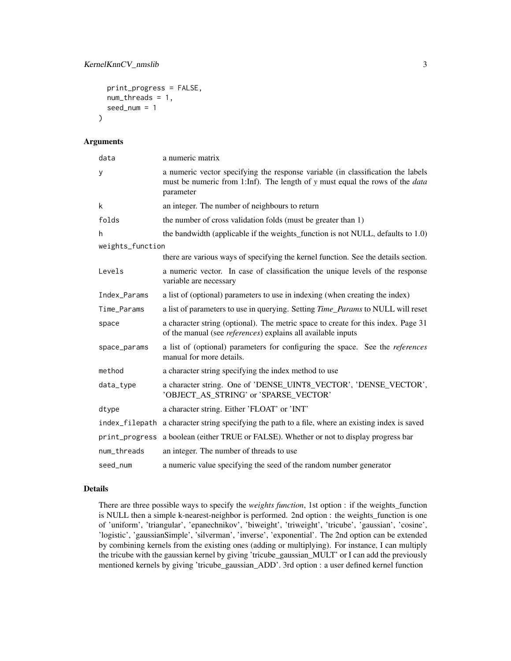```
print_progress = FALSE,
 num_threads = 1,
  seed_num = 1
)
```
#### Arguments

| data             | a numeric matrix                                                                                                                                                                    |
|------------------|-------------------------------------------------------------------------------------------------------------------------------------------------------------------------------------|
| y                | a numeric vector specifying the response variable (in classification the labels<br>must be numeric from 1:Inf). The length of y must equal the rows of the <i>data</i><br>parameter |
| k                | an integer. The number of neighbours to return                                                                                                                                      |
| folds            | the number of cross validation folds (must be greater than 1)                                                                                                                       |
| h                | the bandwidth (applicable if the weights_function is not NULL, defaults to 1.0)                                                                                                     |
| weights_function |                                                                                                                                                                                     |
|                  | there are various ways of specifying the kernel function. See the details section.                                                                                                  |
| Levels           | a numeric vector. In case of classification the unique levels of the response<br>variable are necessary                                                                             |
| Index_Params     | a list of (optional) parameters to use in indexing (when creating the index)                                                                                                        |
| Time_Params      | a list of parameters to use in querying. Setting <i>Time_Params</i> to NULL will reset                                                                                              |
| space            | a character string (optional). The metric space to create for this index. Page 31<br>of the manual (see <i>references</i> ) explains all available inputs                           |
| space_params     | a list of (optional) parameters for configuring the space. See the <i>references</i><br>manual for more details.                                                                    |
| method           | a character string specifying the index method to use                                                                                                                               |
| data_type        | a character string. One of 'DENSE_UINT8_VECTOR', 'DENSE_VECTOR',<br>'OBJECT_AS_STRING' or 'SPARSE_VECTOR'                                                                           |
| dtype            | a character string. Either 'FLOAT' or 'INT'                                                                                                                                         |
|                  | index_filepath a character string specifying the path to a file, where an existing index is saved                                                                                   |
| print_progress   | a boolean (either TRUE or FALSE). Whether or not to display progress bar                                                                                                            |
| num_threads      | an integer. The number of threads to use                                                                                                                                            |
| seed_num         | a numeric value specifying the seed of the random number generator                                                                                                                  |

#### Details

There are three possible ways to specify the *weights function*, 1st option : if the weights\_function is NULL then a simple k-nearest-neighbor is performed. 2nd option : the weights\_function is one of 'uniform', 'triangular', 'epanechnikov', 'biweight', 'triweight', 'tricube', 'gaussian', 'cosine', 'logistic', 'gaussianSimple', 'silverman', 'inverse', 'exponential'. The 2nd option can be extended by combining kernels from the existing ones (adding or multiplying). For instance, I can multiply the tricube with the gaussian kernel by giving 'tricube\_gaussian\_MULT' or I can add the previously mentioned kernels by giving 'tricube\_gaussian\_ADD'. 3rd option : a user defined kernel function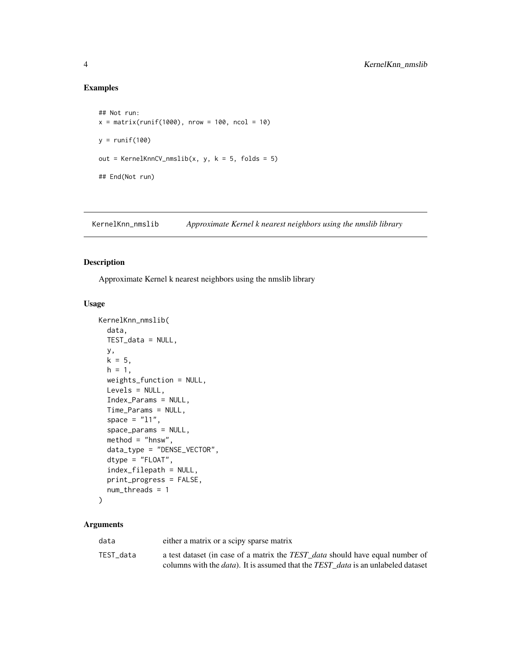#### Examples

```
## Not run:
x = matrix(runif(1000), nrow = 100, ncol = 10)y = runif(100)out = KernelKnnCV_nmslib(x, y, k = 5, folds = 5)
## End(Not run)
```
KernelKnn\_nmslib *Approximate Kernel k nearest neighbors using the nmslib library*

#### Description

Approximate Kernel k nearest neighbors using the nmslib library

#### Usage

```
KernelKnn_nmslib(
  data,
  TEST_data = NULL,
 y,
  k = 5,
 h = 1,
 weights_function = NULL,
 Levels = NULL,
  Index_Params = NULL,
  Time_Params = NULL,
  space = "11",space_params = NULL,
 method = "hnsw",data_type = "DENSE_VECTOR",
  dtype = "FLOAT",
  index_filepath = NULL,
  print_progress = FALSE,
 num_threads = 1
)
```
#### Arguments

| data      | either a matrix or a scipy sparse matrix                                                        |
|-----------|-------------------------------------------------------------------------------------------------|
| TEST data | a test dataset (in case of a matrix the TEST_data should have equal number of                   |
|           | columns with the <i>data</i> ). It is assumed that the <i>TEST</i> data is an unlabeled dataset |

<span id="page-3-0"></span>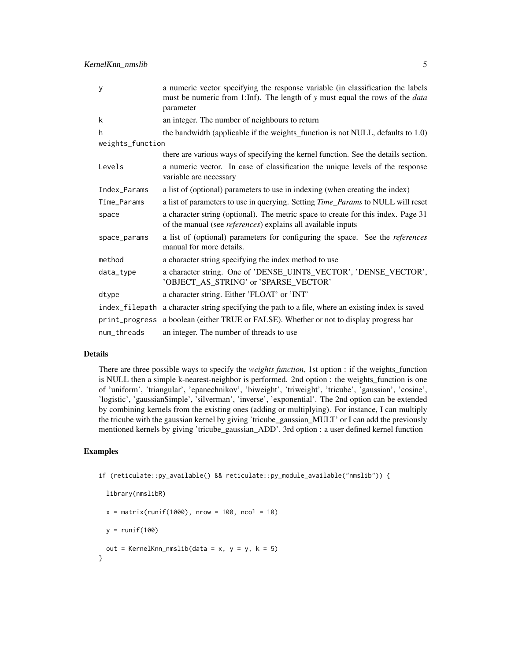KernelKnn\_nmslib 5

| y                | a numeric vector specifying the response variable (in classification the labels<br>must be numeric from 1:Inf). The length of y must equal the rows of the <i>data</i> |
|------------------|------------------------------------------------------------------------------------------------------------------------------------------------------------------------|
|                  | parameter                                                                                                                                                              |
| k                | an integer. The number of neighbours to return                                                                                                                         |
| h                | the bandwidth (applicable if the weights_function is not NULL, defaults to 1.0)                                                                                        |
| weights_function |                                                                                                                                                                        |
|                  | there are various ways of specifying the kernel function. See the details section.                                                                                     |
| Levels           | a numeric vector. In case of classification the unique levels of the response<br>variable are necessary                                                                |
| Index_Params     | a list of (optional) parameters to use in indexing (when creating the index)                                                                                           |
| Time_Params      | a list of parameters to use in querying. Setting Time_Params to NULL will reset                                                                                        |
| space            | a character string (optional). The metric space to create for this index. Page 31<br>of the manual (see <i>references</i> ) explains all available inputs              |
| space_params     | a list of (optional) parameters for configuring the space. See the <i>references</i><br>manual for more details.                                                       |
| method           | a character string specifying the index method to use                                                                                                                  |
| data_type        | a character string. One of 'DENSE_UINT8_VECTOR', 'DENSE_VECTOR',<br>'OBJECT_AS_STRING' or 'SPARSE_VECTOR'                                                              |
| dtype            | a character string. Either 'FLOAT' or 'INT'                                                                                                                            |
| index_filepath   | a character string specifying the path to a file, where an existing index is saved                                                                                     |
| print_progress   | a boolean (either TRUE or FALSE). Whether or not to display progress bar                                                                                               |
| num_threads      | an integer. The number of threads to use                                                                                                                               |

#### Details

There are three possible ways to specify the *weights function*, 1st option : if the weights\_function is NULL then a simple k-nearest-neighbor is performed. 2nd option : the weights\_function is one of 'uniform', 'triangular', 'epanechnikov', 'biweight', 'triweight', 'tricube', 'gaussian', 'cosine', 'logistic', 'gaussianSimple', 'silverman', 'inverse', 'exponential'. The 2nd option can be extended by combining kernels from the existing ones (adding or multiplying). For instance, I can multiply the tricube with the gaussian kernel by giving 'tricube\_gaussian\_MULT' or I can add the previously mentioned kernels by giving 'tricube\_gaussian\_ADD'. 3rd option : a user defined kernel function

#### Examples

```
if (reticulate::py_available() && reticulate::py_module_available("nmslib")) {
```

```
library(nmslibR)
```
 $x = matrix(runit(1000), nrow = 100, ncol = 10)$ 

 $y = runif(100)$ 

```
out = KernelKnn_nmslib(data = x, y = y, k = 5)
}
```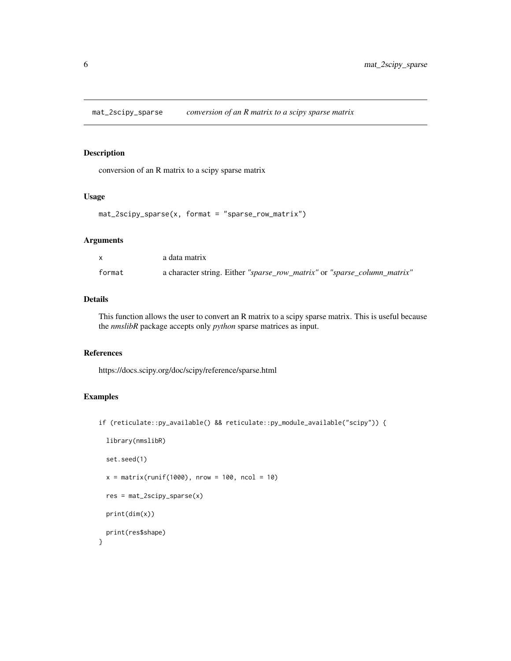<span id="page-5-0"></span>mat\_2scipy\_sparse *conversion of an R matrix to a scipy sparse matrix*

#### Description

conversion of an R matrix to a scipy sparse matrix

#### Usage

```
mat_2scipy_sparse(x, format = "sparse_row_matrix")
```
#### Arguments

|        | a data matrix                                                            |
|--------|--------------------------------------------------------------------------|
| format | a character string. Either "sparse_row_matrix" or "sparse_column_matrix" |

#### Details

This function allows the user to convert an R matrix to a scipy sparse matrix. This is useful because the *nmslibR* package accepts only *python* sparse matrices as input.

#### References

https://docs.scipy.org/doc/scipy/reference/sparse.html

#### Examples

if (reticulate::py\_available() && reticulate::py\_module\_available("scipy")) {

```
library(nmslibR)
 set.seed(1)
 x = matrix(runif(1000), nrow = 100, ncol = 10)res = mat_2scipy_sparse(x)
 print(dim(x))
 print(res$shape)
}
```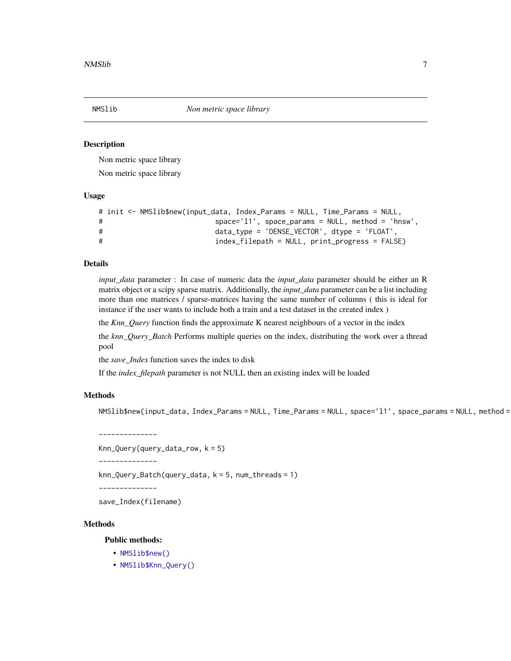<span id="page-6-0"></span>

#### **Description**

Non metric space library

Non metric space library

#### Usage

```
# init <- NMSlib$new(input_data, Index_Params = NULL, Time_Params = NULL,
# space='l1', space_params = NULL, method = 'hnsw',
# data_type = 'DENSE_VECTOR', dtype = 'FLOAT',
# index_filepath = NULL, print_progress = FALSE)
```
#### Details

*input\_data* parameter : In case of numeric data the *input\_data* parameter should be either an R matrix object or a scipy sparse matrix. Additionally, the *input\_data* parameter can be a list including more than one matrices / sparse-matrices having the same number of columns ( this is ideal for instance if the user wants to include both a train and a test dataset in the created index )

the *Knn\_Query* function finds the approximate K nearest neighbours of a vector in the index

the *knn\_Query\_Batch* Performs multiple queries on the index, distributing the work over a thread pool

the *save\_Index* function saves the index to disk

If the *index\_filepath* parameter is not NULL then an existing index will be loaded

#### Methods

NMSlib\$new(input\_data, Index\_Params = NULL, Time\_Params = NULL, space='l1', space\_params = NULL, method =

--------------

```
Knn_Query(query_data_row, k = 5)
```
--------------

knn\_Query\_Batch(query\_data, k = 5, num\_threads = 1)

--------------

save\_Index(filename)

#### Methods

Public methods:

- [NMSlib\\$new\(\)](#page-0-0)
- [NMSlib\\$Knn\\_Query\(\)](#page-0-0)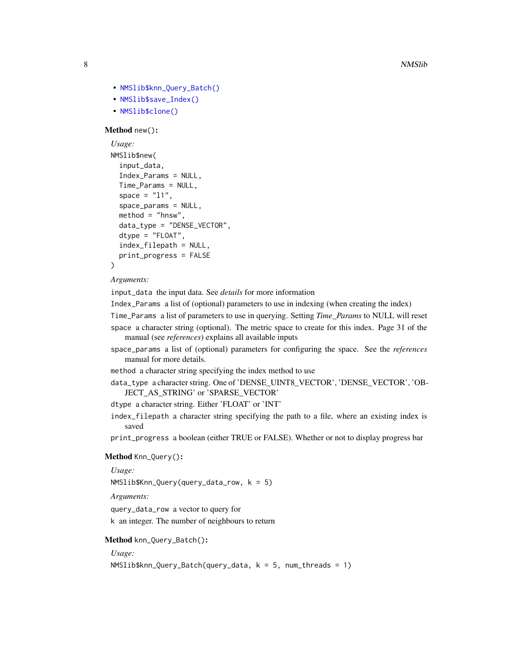- [NMSlib\\$knn\\_Query\\_Batch\(\)](#page-0-0)
- [NMSlib\\$save\\_Index\(\)](#page-0-0)
- [NMSlib\\$clone\(\)](#page-0-0)

#### Method new():

```
Usage:
NMSlib$new(
  input_data,
  Index_Params = NULL,
  Time_Params = NULL,
  space = "11",
  space_params = NULL,
 method = "hnsw",data_type = "DENSE_VECTOR",
 dtype = "FLOAT",
  index_filepath = NULL,
  print_progress = FALSE
)
```
#### *Arguments:*

input\_data the input data. See *details* for more information

Index\_Params a list of (optional) parameters to use in indexing (when creating the index)

Time\_Params a list of parameters to use in querying. Setting *Time\_Params* to NULL will reset space a character string (optional). The metric space to create for this index. Page 31 of the manual (see *references*) explains all available inputs

space\_params a list of (optional) parameters for configuring the space. See the *references* manual for more details.

method a character string specifying the index method to use

```
data_type a character string. One of 'DENSE_UINT8_VECTOR', 'DENSE_VECTOR', 'OB-
   JECT_AS_STRING' or 'SPARSE_VECTOR'
```
dtype a character string. Either 'FLOAT' or 'INT'

index\_filepath a character string specifying the path to a file, where an existing index is saved

print\_progress a boolean (either TRUE or FALSE). Whether or not to display progress bar

#### Method Knn\_Query():

*Usage:*

NMSlib\$Knn\_Query(query\_data\_row, k = 5)

*Arguments:*

query\_data\_row a vector to query for k an integer. The number of neighbours to return

#### Method knn\_Query\_Batch():

*Usage:*

NMSlib\$knn\_Query\_Batch(query\_data, k = 5, num\_threads = 1)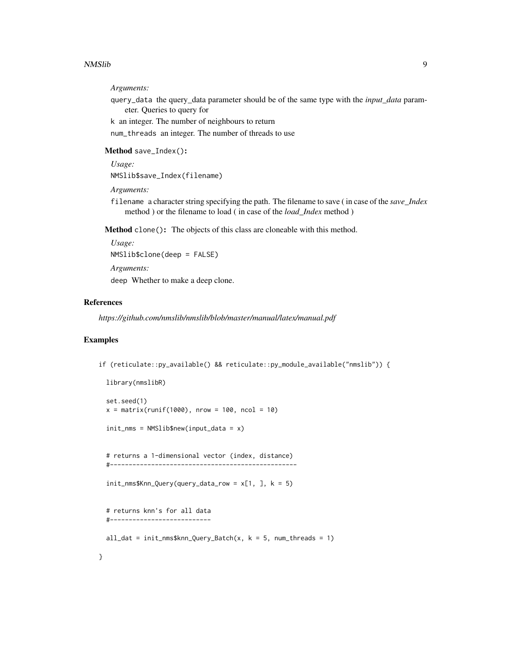#### NMSlib 9

#### *Arguments:*

query\_data the query\_data parameter should be of the same type with the *input\_data* parameter. Queries to query for

k an integer. The number of neighbours to return

num\_threads an integer. The number of threads to use

Method save\_Index():

```
Usage:
```
NMSlib\$save\_Index(filename)

*Arguments:*

filename a character string specifying the path. The filename to save ( in case of the *save\_Index* method ) or the filename to load ( in case of the *load\_Index* method )

Method clone(): The objects of this class are cloneable with this method.

*Usage:* NMSlib\$clone(deep = FALSE) *Arguments:* deep Whether to make a deep clone.

#### References

*https://github.com/nmslib/nmslib/blob/master/manual/latex/manual.pdf*

#### Examples

```
if (reticulate::py_available() && reticulate::py_module_available("nmslib")) {
```

```
library(nmslibR)
set.seed(1)
x = matrix(runit(1000), nrow = 100, ncol = 10)init_nms = NMSlib$new(input_data = x)
```
# returns a 1-dimensional vector (index, distance) #--------------------------------------------------

```
init\_nms $Knn_Query(query_data_row = x[1, 1, k = 5)
```

```
# returns knn's for all data
#---------------------------
```

```
all_dat = init_{\text{max}}$knn_Query_Batch(x, k = 5, num_threads = 1)
```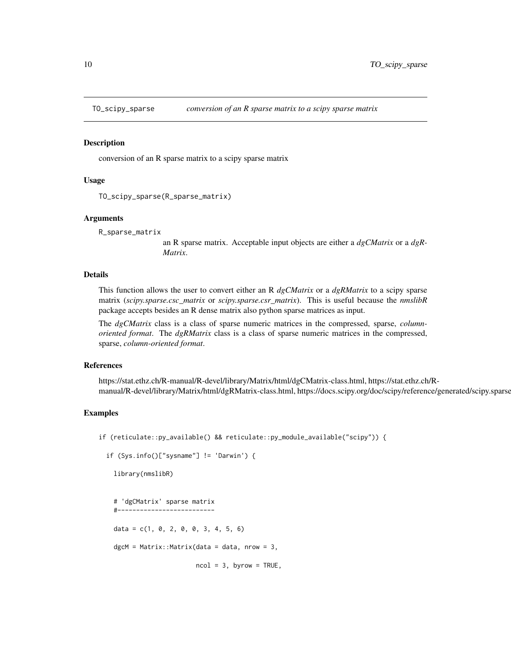<span id="page-9-0"></span>

#### Description

conversion of an R sparse matrix to a scipy sparse matrix

#### Usage

```
TO_scipy_sparse(R_sparse_matrix)
```
#### Arguments

```
R_sparse_matrix
```
an R sparse matrix. Acceptable input objects are either a *dgCMatrix* or a *dgR-Matrix*.

#### Details

This function allows the user to convert either an R *dgCMatrix* or a *dgRMatrix* to a scipy sparse matrix (*scipy.sparse.csc\_matrix* or *scipy.sparse.csr\_matrix*). This is useful because the *nmslibR* package accepts besides an R dense matrix also python sparse matrices as input.

The *dgCMatrix* class is a class of sparse numeric matrices in the compressed, sparse, *columnoriented format*. The *dgRMatrix* class is a class of sparse numeric matrices in the compressed, sparse, *column-oriented format*.

#### References

https://stat.ethz.ch/R-manual/R-devel/library/Matrix/html/dgCMatrix-class.html, https://stat.ethz.ch/Rmanual/R-devel/library/Matrix/html/dgRMatrix-class.html, https://docs.scipy.org/doc/scipy/reference/generated/scipy.sparse

#### Examples

```
if (reticulate::py_available() && reticulate::py_module_available("scipy")) {
```

```
if (Sys.info()['sysname"] != 'Darwin') { }
```
library(nmslibR)

```
# 'dgCMatrix' sparse matrix
#--------------------------
data = c(1, 0, 2, 0, 0, 3, 4, 5, 6)dgcM = Matrix::Matrix(data = data, nrow = 3,
```

```
ncol = 3, byrow = TRUE,
```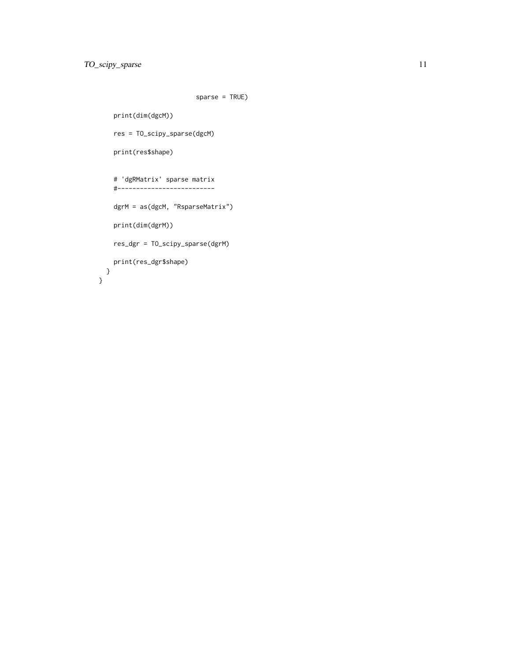```
sparse = TRUE)
```

```
print(dim(dgcM))
   res = TO_scipy_sparse(dgcM)
   print(res$shape)
    # 'dgRMatrix' sparse matrix
    #--------------------------
   dgrM = as(dgcM, "RsparseMatrix")
   print(dim(dgrM))
   res_dgr = TO_scipy_sparse(dgrM)
   print(res_dgr$shape)
 }
}
```